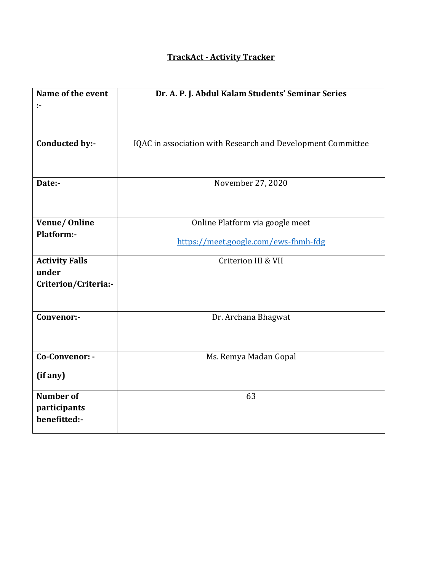## **TrackAct - Activity Tracker**

| Name of the event     | Dr. A. P. J. Abdul Kalam Students' Seminar Series           |
|-----------------------|-------------------------------------------------------------|
| ÷.                    |                                                             |
|                       |                                                             |
|                       |                                                             |
| Conducted by:-        | IQAC in association with Research and Development Committee |
|                       |                                                             |
|                       |                                                             |
|                       |                                                             |
| Date:-                | November 27, 2020                                           |
|                       |                                                             |
|                       |                                                             |
| Venue/Online          | Online Platform via google meet                             |
| <b>Platform:-</b>     |                                                             |
|                       | https://meet.google.com/ews-fhmh-fdg                        |
| <b>Activity Falls</b> | Criterion III & VII                                         |
| under                 |                                                             |
| Criterion/Criteria:-  |                                                             |
|                       |                                                             |
|                       |                                                             |
| Convenor:-            | Dr. Archana Bhagwat                                         |
|                       |                                                             |
|                       |                                                             |
| Co-Convenor: -        | Ms. Remya Madan Gopal                                       |
|                       |                                                             |
| (if any)              |                                                             |
| <b>Number of</b>      | 63                                                          |
| participants          |                                                             |
| benefitted:-          |                                                             |
|                       |                                                             |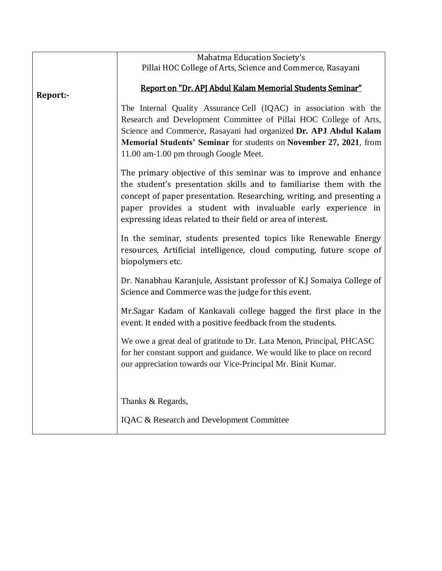|          | Mahatma Education Society's<br>Pillai HOC College of Arts, Science and Commerce, Rasayani                                                                                                                                                                                                                                                       |
|----------|-------------------------------------------------------------------------------------------------------------------------------------------------------------------------------------------------------------------------------------------------------------------------------------------------------------------------------------------------|
|          | Report on "Dr. API Abdul Kalam Memorial Students Seminar"                                                                                                                                                                                                                                                                                       |
| Report:- |                                                                                                                                                                                                                                                                                                                                                 |
|          | The Internal Quality Assurance Cell (IQAC) in association with the<br>Research and Development Committee of Pillai HOC College of Arts,<br>Science and Commerce, Rasayani had organized Dr. APJ Abdul Kalam<br>Memorial Students' Seminar for students on November 27, 2021, from<br>11.00 am-1.00 pm through Google Meet.                      |
|          | The primary objective of this seminar was to improve and enhance<br>the student's presentation skills and to familiarise them with the<br>concept of paper presentation. Researching, writing, and presenting a<br>paper provides a student with invaluable early experience in<br>expressing ideas related to their field or area of interest. |
|          | In the seminar, students presented topics like Renewable Energy<br>resources, Artificial intelligence, cloud computing, future scope of<br>biopolymers etc.                                                                                                                                                                                     |
|          | Dr. Nanabhau Karanjule, Assistant professor of K.J Somaiya College of<br>Science and Commerce was the judge for this event.                                                                                                                                                                                                                     |
|          | Mr. Sagar Kadam of Kankavali college bagged the first place in the<br>event. It ended with a positive feedback from the students.                                                                                                                                                                                                               |
|          | We owe a great deal of gratitude to Dr. Lata Menon, Principal, PHCASC<br>for her constant support and guidance. We would like to place on record<br>our appreciation towards our Vice-Principal Mr. Binit Kumar.                                                                                                                                |
|          | Thanks & Regards,                                                                                                                                                                                                                                                                                                                               |
|          | IQAC & Research and Development Committee                                                                                                                                                                                                                                                                                                       |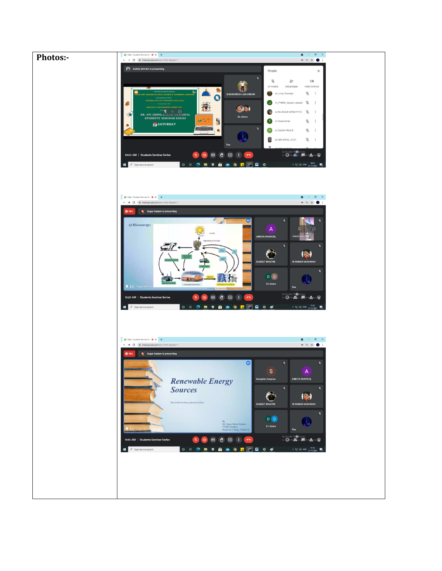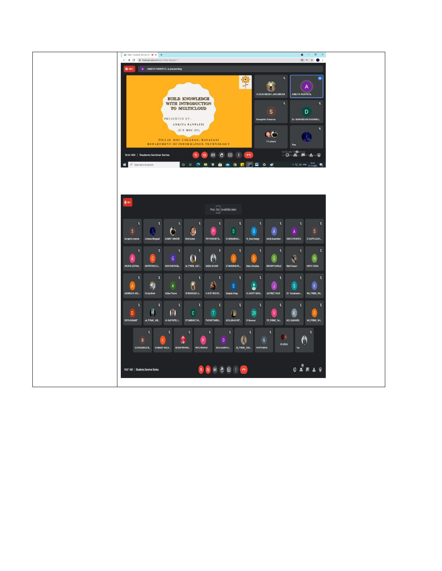